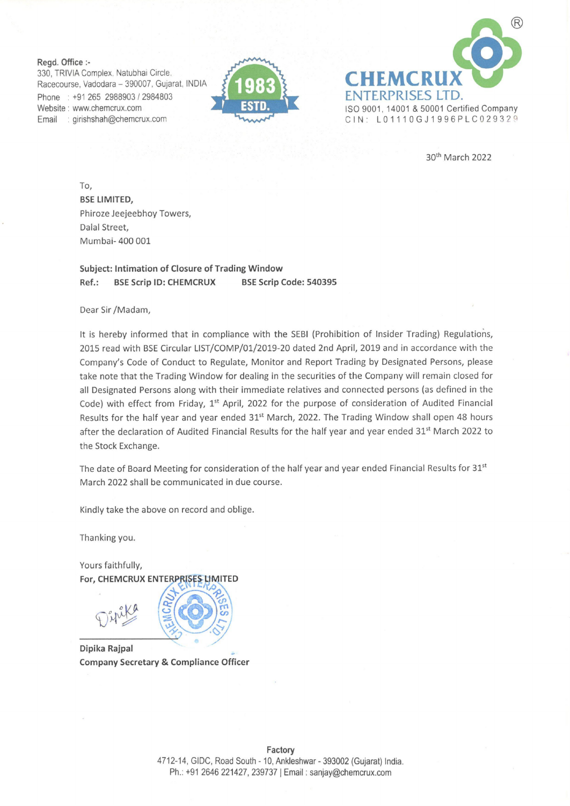Regd. Office :-

330, TRIVIA Complex, Natubhai Circle. Racecourse, Vadodara — 390007, Gujarat, INDIA Phone: +91 265 2988903 / 2984803 Website : www.chemcrux.com : girishshah@chemcrux.com Email





30" March 2022

To, BSE LIMITED, Phiroze Jeejeebhoy Towers, Dalal Street, Mumbai- 400 001

## Subject: Intimation of Closure of Trading Window Ref.: BSE Scrip ID: CHEMCRUX BSE Scrip Code: 540395

Dear Sir /Madam,

It is hereby informed that in compliance with the SEBI (Prohibition of Insider Trading) Regulations, 2015 read with BSE Circular LIST/COMP/01/2019-20 dated 2nd April, 2019 and in accordance with the Company's Code of Conduct to Regulate, Monitor and Report Trading by Designated Persons, please take note that the Trading Window for dealing in the securities of the Company will remain closed for all Designated Persons along with their immediate relatives and connected persons (as defined in the Code) with effect from Friday, 1<sup>st</sup> April, 2022 for the purpose of consideration of Audited Financial Results for the half year and year ended 31<sup>st</sup> March, 2022. The Trading Window shall open 48 hours after the declaration of Audited Financial Results for the half year and year ended 31<sup>st</sup> March 2022 to the Stock Exchange.

The date of Board Meeting for consideration of the half year and year ended Financial Results for 31<sup>st</sup> March 2022 shall be communicated in due course.

Kindly take the above on record and oblige.

Thanking you.

Yours faithfully, For, CHEMCRUX ENTERPRISES LIMITED

Dipika Rajpal . Company Secretary & Compliance Officer